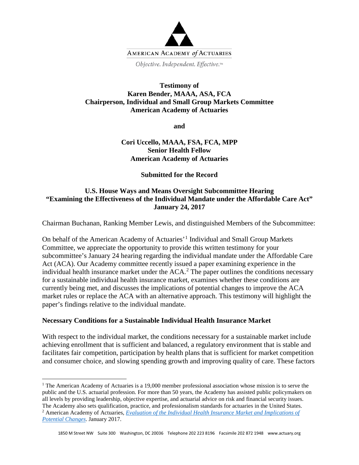

Objective. Independent. Effective.™

#### **Testimony of Karen Bender, MAAA, ASA, FCA Chairperson, Individual and Small Group Markets Committee American Academy of Actuaries**

**and**

## **Cori Uccello, MAAA, FSA, FCA, MPP Senior Health Fellow American Academy of Actuaries**

#### **Submitted for the Record**

## **U.S. House Ways and Means Oversight Subcommittee Hearing "Examining the Effectiveness of the Individual Mandate under the Affordable Care Act" January 24, 2017**

Chairman Buchanan, Ranking Member Lewis, and distinguished Members of the Subcommittee:

On behalf of the American Academy of Actuaries'[1](#page-0-0) Individual and Small Group Markets Committee, we appreciate the opportunity to provide this written testimony for your subcommittee's January 24 hearing regarding the individual mandate under the Affordable Care Act (ACA). Our Academy committee recently issued a paper examining experience in the individual health insurance market under the  $ACA<sup>2</sup>$  $ACA<sup>2</sup>$  $ACA<sup>2</sup>$ . The paper outlines the conditions necessary for a sustainable individual health insurance market, examines whether these conditions are currently being met, and discusses the implications of potential changes to improve the ACA market rules or replace the ACA with an alternative approach. This testimony will highlight the paper's findings relative to the individual mandate.

#### **Necessary Conditions for a Sustainable Individual Health Insurance Market**

 $\overline{a}$ 

With respect to the individual market, the conditions necessary for a sustainable market include achieving enrollment that is sufficient and balanced, a regulatory environment that is stable and facilitates fair competition, participation by health plans that is sufficient for market competition and consumer choice, and slowing spending growth and improving quality of care. These factors

<span id="page-0-1"></span><span id="page-0-0"></span><sup>&</sup>lt;sup>1</sup> The American Academy of Actuaries is a 19,000 member professional association whose mission is to serve the public and the U.S. actuarial profession. For more than 50 years, the Academy has assisted public policymakers on all levels by providing leadership, objective expertise, and actuarial advice on risk and financial security issues. The Academy also sets qualification, practice, and professionalism standards for actuaries in the United States. <sup>2</sup> American Academy of Actuaries, *[Evaluation of the Individual Health Insurance Market and Implications of](http://www.actuary.org/files/publications/Acad_eval_indiv_mkt_011817.pdf)  [Potential Changes](http://www.actuary.org/files/publications/Acad_eval_indiv_mkt_011817.pdf)*. January 2017.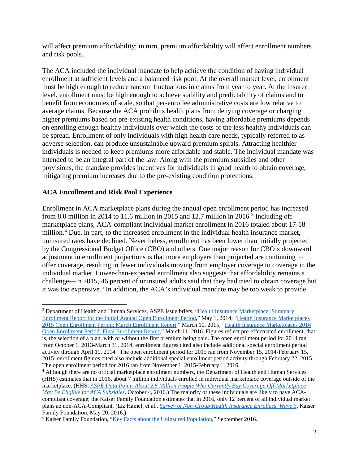will affect premium affordability; in turn, premium affordability will affect enrollment numbers and risk pools.

The ACA included the individual mandate to help achieve the condition of having individual enrollment at sufficient levels and a balanced risk pool. At the overall market level, enrollment must be high enough to reduce random fluctuations in claims from year to year. At the insurer level, enrollment must be high enough to achieve stability and predictability of claims and to benefit from economies of scale, so that per-enrollee administrative costs are low relative to average claims. Because the ACA prohibits health plans from denying coverage or charging higher premiums based on pre-existing health conditions, having affordable premiums depends on enrolling enough healthy individuals over which the costs of the less healthy individuals can be spread. Enrollment of only individuals with high health care needs, typically referred to as adverse selection, can produce unsustainable upward premium spirals. Attracting healthier individuals is needed to keep premiums more affordable and stable. The individual mandate was intended to be an integral part of the law. Along with the premium subsidies and other provisions, the mandate provides incentives for individuals in good health to obtain coverage, mitigating premium increases due to the pre-existing condition protections.

## **ACA Enrollment and Risk Pool Experience**

Enrollment in ACA marketplace plans during the annual open enrollment period has increased from 8.0 million in 2014 to 11.6 million in 2015 and 12.7 million in 2016.<sup>[3](#page-1-0)</sup> Including offmarketplace plans, ACA-compliant individual market enrollment in 2016 totaled about 17-18 million.<sup>[4](#page-1-1)</sup> Due, in part, to the increased enrollment in the individual health insurance market, uninsured rates have declined. Nevertheless, enrollment has been lower than initially projected by the Congressional Budget Office (CBO) and others. One major reason for CBO's downward adjustment in enrollment projections is that more employers than projected are continuing to offer coverage, resulting in fewer individuals moving from employer coverage to coverage in the individual market. Lower-than-expected enrollment also suggests that affordability remains a challenge—in 2015, 46 percent of uninsured adults said that they had tried to obtain coverage but it was too expensive.<sup>[5](#page-1-2)</sup> In addition, the ACA's individual mandate may be too weak to provide

<span id="page-1-0"></span> $\overline{a}$ <sup>3</sup> Department of Health and Human Services, ASPE Issue briefs, "Health Insurance Marketplace: Summary [Enrollment Report for the Initial Annual Open Enrollment Period,](https://aspe.hhs.gov/pdf-report/health-insurance-marketplace-summary-enrollment-report-initial-annual-open-enrollment-period)" May 1, 2014; ["Health Insurance Marketplaces](https://aspe.hhs.gov/pdf-report/health-insurance-marketplace-2015-open-enrollment-period-march-enrollment-report)  [2015 Open Enrollment Period: March Enrollment Report,](https://aspe.hhs.gov/pdf-report/health-insurance-marketplace-2015-open-enrollment-period-march-enrollment-report)" March 10, 2015; ["Health Insurance Marketplaces 2016](https://aspe.hhs.gov/health-insurance-marketplaces-2016-open-enrollment-period-final-enrollment-report)  [Open Enrollment Period: Final Enrollment Report,](https://aspe.hhs.gov/health-insurance-marketplaces-2016-open-enrollment-period-final-enrollment-report)" March 11, 2016. Figures reflect pre-effectuated enrollment, that is, the selection of a plan, with or without the first premium being paid. The open enrollment period for 2014 ran from October 1, 2013-March 31, 2014; enrollment figures cited also include additional special enrollment period activity through April 19, 2014. The open enrollment period for 2015 ran from November 15, 2014-February 15, 2015; enrollment figures cited also include additional special enrollment period activity through February 22, 2015.

<span id="page-1-1"></span> $<sup>4</sup>$  Although there are no official marketplace enrollment numbers, the Department of Health and Human Services</sup> (HHS) estimates that in 2016, about 7 million individuals enrolled in individual marketplace coverage outside of the marketplace. (HHS, *[ASPE Data Point: About 2.5 Million People Who Currently Buy Coverage Off-Marketplace](https://aspe.hhs.gov/sites/default/files/pdf/208306/OffMarketplaceSubsidyeligible.pdf)  [May Be Eligible for ACA Subsidies](https://aspe.hhs.gov/sites/default/files/pdf/208306/OffMarketplaceSubsidyeligible.pdf)*. October 4, 2016.) The majority of these individuals are likely to have ACAcompliant coverage; the Kaiser Family Foundation estimates that in 2016, only 12 percent of all individual market plans ae non-ACA-Compliant. (Liz Hamel, et al., *[Survey of Non-Group Health Insurance Enrollees, Wave 3](http://kff.org/health-reform/poll-finding/survey-of-non-group-health-insurance-enrollees-wave-3/)*. Kaiser Family Foundation, May 20, 2016.)

<span id="page-1-2"></span><sup>5</sup> Kaiser Family Foundation, ["Key Facts about the Uninsured Population,](http://kff.org/uninsured/fact-sheet/key-facts-about-the-uninsured-population/)" September 2016.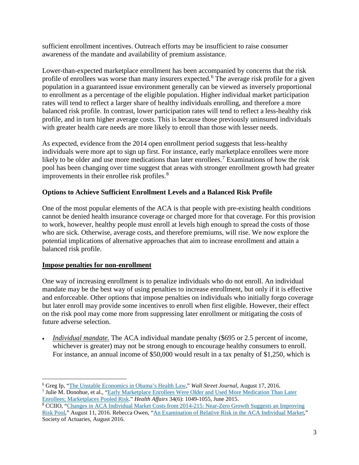sufficient enrollment incentives. Outreach efforts may be insufficient to raise consumer awareness of the mandate and availability of premium assistance.

Lower-than-expected marketplace enrollment has been accompanied by concerns that the risk profile of enrollees was worse than many insurers expected.<sup>[6](#page-2-0)</sup> The average risk profile for a given population in a guaranteed issue environment generally can be viewed as inversely proportional to enrollment as a percentage of the eligible population. Higher individual market participation rates will tend to reflect a larger share of healthy individuals enrolling, and therefore a more balanced risk profile. In contrast, lower participation rates will tend to reflect a less-healthy risk profile, and in turn higher average costs. This is because those previously uninsured individuals with greater health care needs are more likely to enroll than those with lesser needs.

As expected, evidence from the 2014 open enrollment period suggests that less-healthy individuals were more apt to sign up first. For instance, early marketplace enrollees were more likely to be older and use more medications than later enrollees.<sup>[7](#page-2-1)</sup> Examinations of how the risk pool has been changing over time suggest that areas with stronger enrollment growth had greater improvements in their enrollee risk profiles. $\frac{8}{3}$  $\frac{8}{3}$  $\frac{8}{3}$ 

## **Options to Achieve Sufficient Enrollment Levels and a Balanced Risk Profile**

One of the most popular elements of the ACA is that people with pre-existing health conditions cannot be denied health insurance coverage or charged more for that coverage. For this provision to work, however, healthy people must enroll at levels high enough to spread the costs of those who are sick. Otherwise, average costs, and therefore premiums, will rise. We now explore the potential implications of alternative approaches that aim to increase enrollment and attain a balanced risk profile.

## **Impose penalties for non-enrollment**

One way of increasing enrollment is to penalize individuals who do not enroll. An individual mandate may be the best way of using penalties to increase enrollment, but only if it is effective and enforceable. Other options that impose penalties on individuals who initially forgo coverage but later enroll may provide some incentives to enroll when first eligible. However, their effect on the risk pool may come more from suppressing later enrollment or mitigating the costs of future adverse selection.

*Individual mandate*. The ACA individual mandate penalty (\$695 or 2.5 percent of income, whichever is greater) may not be strong enough to encourage healthy consumers to enroll. For instance, an annual income of \$50,000 would result in a tax penalty of \$1,250, which is

<span id="page-2-0"></span> $\overline{a}$ <sup>6</sup> Greg Ip, ["The Unstable Economics in Obama's Health Law,](http://www.wsj.com/articles/the-unstable-economics-in-obamas-health-law-1471452938)" *Wall Street Journal*, August 17, 2016.

<span id="page-2-1"></span><sup>7</sup> Julie M. Donohue, et al., ["Early Marketplace Enrollees Were Older and Used More](http://content.healthaffairs.org/content/early/2015/05/21/hlthaff.2015.0016.abstract) Medication Than Later [Enrollees; Marketplaces Pooled Risk.](http://content.healthaffairs.org/content/early/2015/05/21/hlthaff.2015.0016.abstract)" *Health Affairs* 34(6): 1049-1055, June 2015.

<span id="page-2-2"></span><sup>8</sup> CCIIO, ["Changes in ACA Individual Market Costs from 2014-215: Near-Zero Growth Suggests an Improving](https://www.cms.gov/CCIIO/Resources/Forms-Reports-and-Other-resources/Downloads/Final-Risk-Pool-Analysis-8_11_16.pdf)  [Risk Pool,](https://www.cms.gov/CCIIO/Resources/Forms-Reports-and-Other-resources/Downloads/Final-Risk-Pool-Analysis-8_11_16.pdf)" August 11, 2016. Rebecca Owen, ["An Examination of Relative Risk in the ACA Individual Market,](https://www.soa.org/Files/Research/research-2016-examination-relative-risk-aca.pdf)" Society of Actuaries, August 2016.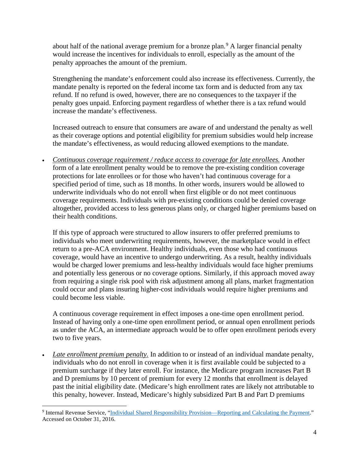about half of the national average premium for a bronze plan.<sup>[9](#page-3-0)</sup> A larger financial penalty would increase the incentives for individuals to enroll, especially as the amount of the penalty approaches the amount of the premium.

Strengthening the mandate's enforcement could also increase its effectiveness. Currently, the mandate penalty is reported on the federal income tax form and is deducted from any tax refund. If no refund is owed, however, there are no consequences to the taxpayer if the penalty goes unpaid. Enforcing payment regardless of whether there is a tax refund would increase the mandate's effectiveness.

Increased outreach to ensure that consumers are aware of and understand the penalty as well as their coverage options and potential eligibility for premium subsidies would help increase the mandate's effectiveness, as would reducing allowed exemptions to the mandate.

• *Continuous coverage requirement / reduce access to coverage for late enrollees.* Another form of a late enrollment penalty would be to remove the pre-existing condition coverage protections for late enrollees or for those who haven't had continuous coverage for a specified period of time, such as 18 months. In other words, insurers would be allowed to underwrite individuals who do not enroll when first eligible or do not meet continuous coverage requirements. Individuals with pre-existing conditions could be denied coverage altogether, provided access to less generous plans only, or charged higher premiums based on their health conditions.

If this type of approach were structured to allow insurers to offer preferred premiums to individuals who meet underwriting requirements, however, the marketplace would in effect return to a pre-ACA environment. Healthy individuals, even those who had continuous coverage, would have an incentive to undergo underwriting. As a result, healthy individuals would be charged lower premiums and less-healthy individuals would face higher premiums and potentially less generous or no coverage options. Similarly, if this approach moved away from requiring a single risk pool with risk adjustment among all plans, market fragmentation could occur and plans insuring higher-cost individuals would require higher premiums and could become less viable.

A continuous coverage requirement in effect imposes a one-time open enrollment period. Instead of having only a one-time open enrollment period, or annual open enrollment periods as under the ACA, an intermediate approach would be to offer open enrollment periods every two to five years.

• *Late enrollment premium penalty.* In addition to or instead of an individual mandate penalty, individuals who do not enroll in coverage when it is first available could be subjected to a premium surcharge if they later enroll. For instance, the Medicare program increases Part B and D premiums by 10 percent of premium for every 12 months that enrollment is delayed past the initial eligibility date. (Medicare's high enrollment rates are likely not attributable to this penalty, however. Instead, Medicare's highly subsidized Part B and Part D premiums

<span id="page-3-0"></span> $\overline{a}$ <sup>9</sup> Internal Revenue Service, ["Individual Shared Responsibility Provision—Reporting and Calculating the Payment."](https://www.irs.gov/affordable-care-act/individuals-and-families/aca-individual-shared-responsibility-provision-calculating-the-payment) Accessed on October 31, 2016.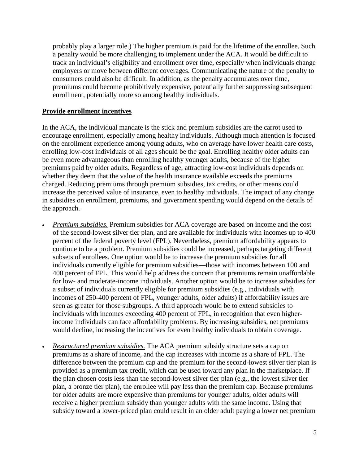probably play a larger role.) The higher premium is paid for the lifetime of the enrollee. Such a penalty would be more challenging to implement under the ACA. It would be difficult to track an individual's eligibility and enrollment over time, especially when individuals change employers or move between different coverages. Communicating the nature of the penalty to consumers could also be difficult. In addition, as the penalty accumulates over time, premiums could become prohibitively expensive, potentially further suppressing subsequent enrollment, potentially more so among healthy individuals.

## **Provide enrollment incentives**

In the ACA, the individual mandate is the stick and premium subsidies are the carrot used to encourage enrollment, especially among healthy individuals. Although much attention is focused on the enrollment experience among young adults, who on average have lower health care costs, enrolling low-cost individuals of all ages should be the goal. Enrolling healthy older adults can be even more advantageous than enrolling healthy younger adults, because of the higher premiums paid by older adults. Regardless of age, attracting low-cost individuals depends on whether they deem that the value of the health insurance available exceeds the premiums charged. Reducing premiums through premium subsidies, tax credits, or other means could increase the perceived value of insurance, even to healthy individuals. The impact of any change in subsidies on enrollment, premiums, and government spending would depend on the details of the approach.

- *Premium subsidies.* Premium subsidies for ACA coverage are based on income and the cost of the second-lowest silver tier plan, and are available for individuals with incomes up to 400 percent of the federal poverty level (FPL). Nevertheless, premium affordability appears to continue to be a problem. Premium subsidies could be increased, perhaps targeting different subsets of enrollees. One option would be to increase the premium subsidies for all individuals currently eligible for premium subsidies—those with incomes between 100 and 400 percent of FPL. This would help address the concern that premiums remain unaffordable for low- and moderate-income individuals. Another option would be to increase subsidies for a subset of individuals currently eligible for premium subsidies (e.g., individuals with incomes of 250-400 percent of FPL, younger adults, older adults) if affordability issues are seen as greater for those subgroups. A third approach would be to extend subsidies to individuals with incomes exceeding 400 percent of FPL, in recognition that even higherincome individuals can face affordability problems. By increasing subsidies, net premiums would decline, increasing the incentives for even healthy individuals to obtain coverage.
- *Restructured premium subsidies.* The ACA premium subsidy structure sets a cap on premiums as a share of income, and the cap increases with income as a share of FPL. The difference between the premium cap and the premium for the second-lowest silver tier plan is provided as a premium tax credit, which can be used toward any plan in the marketplace. If the plan chosen costs less than the second-lowest silver tier plan (e.g., the lowest silver tier plan, a bronze tier plan), the enrollee will pay less than the premium cap. Because premiums for older adults are more expensive than premiums for younger adults, older adults will receive a higher premium subsidy than younger adults with the same income. Using that subsidy toward a lower-priced plan could result in an older adult paying a lower net premium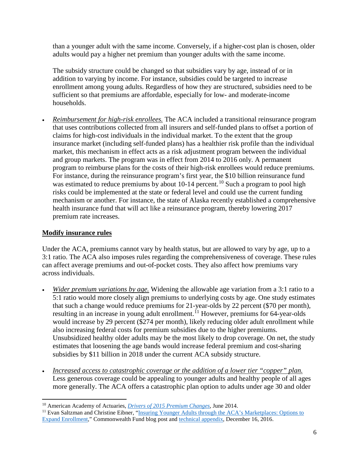than a younger adult with the same income. Conversely, if a higher-cost plan is chosen, older adults would pay a higher net premium than younger adults with the same income.

The subsidy structure could be changed so that subsidies vary by age, instead of or in addition to varying by income. For instance, subsidies could be targeted to increase enrollment among young adults. Regardless of how they are structured, subsidies need to be sufficient so that premiums are affordable, especially for low- and moderate-income households.

• *Reimbursement for high-risk enrollees.* The ACA included a transitional reinsurance program that uses contributions collected from all insurers and self-funded plans to offset a portion of claims for high-cost individuals in the individual market. To the extent that the group insurance market (including self-funded plans) has a healthier risk profile than the individual market, this mechanism in effect acts as a risk adjustment program between the individual and group markets. The program was in effect from 2014 to 2016 only. A permanent program to reimburse plans for the costs of their high-risk enrollees would reduce premiums. For instance, during the reinsurance program's first year, the \$10 billion reinsurance fund was estimated to reduce premiums by about [10](#page-5-0)-14 percent.<sup>10</sup> Such a program to pool high risks could be implemented at the state or federal level and could use the current funding mechanism or another. For instance, the state of Alaska recently established a comprehensive health insurance fund that will act like a reinsurance program, thereby lowering 2017 premium rate increases.

# **Modify insurance rules**

Under the ACA, premiums cannot vary by health status, but are allowed to vary by age, up to a 3:1 ratio. The ACA also imposes rules regarding the comprehensiveness of coverage. These rules can affect average premiums and out-of-pocket costs. They also affect how premiums vary across individuals.

- *Wider premium variations by age.* Widening the allowable age variation from a 3:1 ratio to a 5:1 ratio would more closely align premiums to underlying costs by age. One study estimates that such a change would reduce premiums for 21-year-olds by 22 percent (\$70 per month), resulting in an increase in young adult enrollment.<sup>[11](#page-5-1)</sup> However, premiums for 64-year-olds would increase by 29 percent (\$274 per month), likely reducing older adult enrollment while also increasing federal costs for premium subsidies due to the higher premiums. Unsubsidized healthy older adults may be the most likely to drop coverage. On net, the study estimates that loosening the age bands would increase federal premium and cost-sharing subsidies by \$11 billion in 2018 under the current ACA subsidy structure.
- *Increased access to catastrophic coverage or the addition of a lower tier "copper" plan.* Less generous coverage could be appealing to younger adults and healthy people of all ages more generally. The ACA offers a catastrophic plan option to adults under age 30 and older

 $\overline{a}$ <sup>10</sup> American Academy of Actuaries, *[Drivers of 2015 Premium Changes](http://www.actuary.org/files/2015_Premium_Drivers_Updated_060414.pdf)*, June 2014.

<span id="page-5-1"></span><span id="page-5-0"></span><sup>&</sup>lt;sup>11</sup> Evan Saltzman and Christine Eibner, "Insuring Younger Adults through the ACA's Marketplaces: Options to [Expand Enrollment,](http://www.commonwealthfund.org/publications/blog/2016/dec/insuring-younger-adults)" Commonwealth Fund blog post and [technical appendix,](http://www.commonwealthfund.org/%7E/media/files/publications/blog/2016/saltzman_eibner_enhanced_aptc_appendix_112316.pdf) December 16, 2016.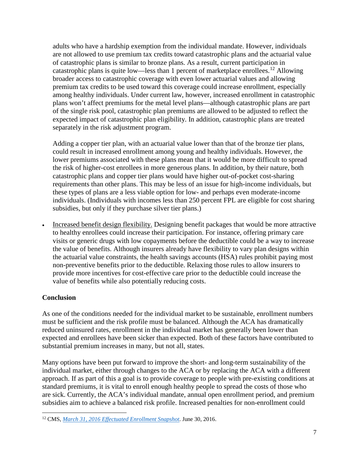adults who have a hardship exemption from the individual mandate. However, individuals are not allowed to use premium tax credits toward catastrophic plans and the actuarial value of catastrophic plans is similar to bronze plans. As a result, current participation in catastrophic plans is quite low—less than 1 percent of marketplace enrollees.<sup>[12](#page-6-0)</sup> Allowing broader access to catastrophic coverage with even lower actuarial values and allowing premium tax credits to be used toward this coverage could increase enrollment, especially among healthy individuals. Under current law, however, increased enrollment in catastrophic plans won't affect premiums for the metal level plans—although catastrophic plans are part of the single risk pool, catastrophic plan premiums are allowed to be adjusted to reflect the expected impact of catastrophic plan eligibility. In addition, catastrophic plans are treated separately in the risk adjustment program.

Adding a copper tier plan, with an actuarial value lower than that of the bronze tier plans, could result in increased enrollment among young and healthy individuals. However, the lower premiums associated with these plans mean that it would be more difficult to spread the risk of higher-cost enrollees in more generous plans. In addition, by their nature, both catastrophic plans and copper tier plans would have higher out-of-pocket cost-sharing requirements than other plans. This may be less of an issue for high-income individuals, but these types of plans are a less viable option for low- and perhaps even moderate-income individuals. (Individuals with incomes less than 250 percent FPL are eligible for cost sharing subsidies, but only if they purchase silver tier plans.)

• Increased benefit design flexibility. Designing benefit packages that would be more attractive to healthy enrollees could increase their participation. For instance, offering primary care visits or generic drugs with low copayments before the deductible could be a way to increase the value of benefits. Although insurers already have flexibility to vary plan designs within the actuarial value constraints, the health savings accounts (HSA) rules prohibit paying most non-preventive benefits prior to the deductible. Relaxing those rules to allow insurers to provide more incentives for cost-effective care prior to the deductible could increase the value of benefits while also potentially reducing costs.

# **Conclusion**

As one of the conditions needed for the individual market to be sustainable, enrollment numbers must be sufficient and the risk profile must be balanced. Although the ACA has dramatically reduced uninsured rates, enrollment in the individual market has generally been lower than expected and enrollees have been sicker than expected. Both of these factors have contributed to substantial premium increases in many, but not all, states.

Many options have been put forward to improve the short- and long-term sustainability of the individual market, either through changes to the ACA or by replacing the ACA with a different approach. If as part of this a goal is to provide coverage to people with pre-existing conditions at standard premiums, it is vital to enroll enough healthy people to spread the costs of those who are sick. Currently, the ACA's individual mandate, annual open enrollment period, and premium subsidies aim to achieve a balanced risk profile. Increased penalties for non-enrollment could

<span id="page-6-0"></span> $\overline{a}$ <sup>12</sup> CMS, *[March 31, 2016 Effectuated Enrollment Snapshot](https://www.cms.gov/Newsroom/MediaReleaseDatabase/Fact-sheets/2016-Fact-sheets-items/2016-06-30.html?DLPage=1&DLEntries=10&DLFilter=effectua&DLSort=0&DLSortDir=descending)*. June 30, 2016.